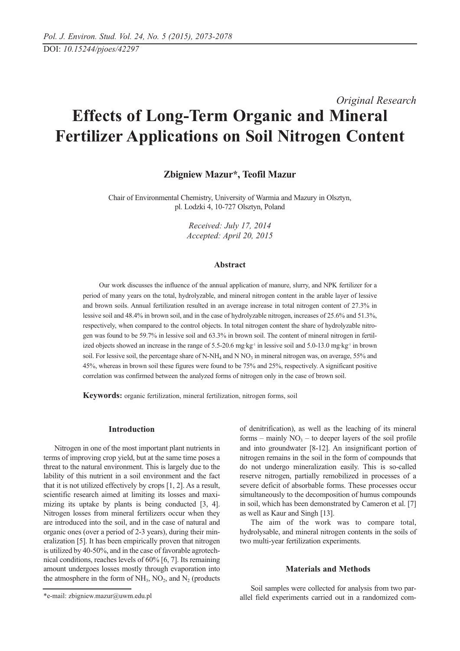# *Original Research* **Effects of Long-Term Organic and Mineral Fertilizer Applications on Soil Nitrogen Content**

# **Zbigniew Mazur\*, Teofil Mazur**

Chair of Environmental Chemistry, University of Warmia and Mazury in Olsztyn, pl. Lodzki 4, 10-727 Olsztyn, Poland

> *Received: July 17, 2014 Accepted: April 20, 2015*

#### **Abstract**

Our work discusses the influence of the annual application of manure, slurry, and NPK fertilizer for a period of many years on the total, hydrolyzable, and mineral nitrogen content in the arable layer of lessive and brown soils. Annual fertilization resulted in an average increase in total nitrogen content of 27.3% in lessive soil and 48.4% in brown soil, and in the case of hydrolyzable nitrogen, increases of 25.6% and 51.3%, respectively, when compared to the control objects. In total nitrogen content the share of hydrolyzable nitrogen was found to be 59.7% in lessive soil and 63.3% in brown soil. The content of mineral nitrogen in fertilized objects showed an increase in the range of 5.5-20.6 mg·kg<sup>-1</sup> in lessive soil and 5.0-13.0 mg·kg<sup>-1</sup> in brown soil. For lessive soil, the percentage share of N-NH<sub>4</sub> and N NO<sub>3</sub> in mineral nitrogen was, on average, 55% and 45%, whereas in brown soil these figures were found to be 75% and 25%, respectively. A significant positive correlation was confirmed between the analyzed forms of nitrogen only in the case of brown soil.

**Keywords:** organic fertilization, mineral fertilization, nitrogen forms, soil

### **Introduction**

Nitrogen in one of the most important plant nutrients in terms of improving crop yield, but at the same time poses a threat to the natural environment. This is largely due to the lability of this nutrient in a soil environment and the fact that it is not utilized effectively by crops [1, 2]. As a result, scientific research aimed at limiting its losses and maximizing its uptake by plants is being conducted [3, 4]. Nitrogen losses from mineral fertilizers occur when they are introduced into the soil, and in the case of natural and organic ones (over a period of 2-3 years), during their mineralization [5]. It has been empirically proven that nitrogen is utilized by 40-50%, and in the case of favorable agrotechnical conditions, reaches levels of 60% [6, 7]. Its remaining amount undergoes losses mostly through evaporation into the atmosphere in the form of  $NH<sub>3</sub>$ , NO<sub>2</sub>, and N<sub>2</sub> (products

The aim of the work was to compare total, hydrolysable, and mineral nitrogen contents in the soils of two multi-year fertilization experiments.

#### **Materials and Methods**

Soil samples were collected for analysis from two parallel field experiments carried out in a randomized com-

of denitrification), as well as the leaching of its mineral forms – mainly  $NO<sub>3</sub>$  – to deeper layers of the soil profile and into groundwater [8-12]. An insignificant portion of nitrogen remains in the soil in the form of compounds that do not undergo mineralization easily. This is so-called reserve nitrogen, partially remobilized in processes of a severe deficit of absorbable forms. These processes occur simultaneously to the decomposition of humus compounds in soil, which has been demonstrated by Cameron et al. [7] as well as Kaur and Singh [13].

<sup>\*</sup>e-mail: zbigniew.mazur@uwm.edu.pl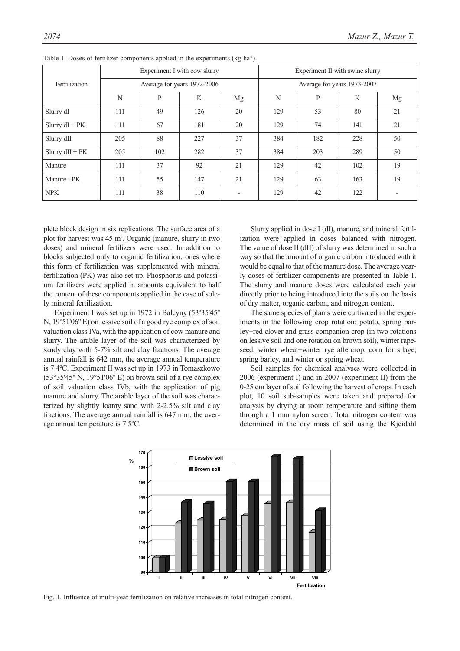|                  | Experiment I with cow slurry |     |     |                             | Experiment II with swine slurry |     |     |    |
|------------------|------------------------------|-----|-----|-----------------------------|---------------------------------|-----|-----|----|
| Fertilization    | Average for years 1972-2006  |     |     | Average for years 1973-2007 |                                 |     |     |    |
|                  | N                            | P   | K   | Mg                          | N                               | P   | K   | Mg |
| Slurry dI        | 111                          | 49  | 126 | 20                          | 129                             | 53  | 80  | 21 |
| Slurry $dI + PK$ | 111                          | 67  | 181 | 20                          | 129                             | 74  | 141 | 21 |
| Slurry dII       | 205                          | 88  | 227 | 37                          | 384                             | 182 | 228 | 50 |
| Slurry $dH + PK$ | 205                          | 102 | 282 | 37                          | 384                             | 203 | 289 | 50 |
| Manure           | 111                          | 37  | 92  | 21                          | 129                             | 42  | 102 | 19 |
| Manure +PK       | 111                          | 55  | 147 | 21                          | 129                             | 63  | 163 | 19 |
| <b>NPK</b>       | 111                          | 38  | 110 |                             | 129                             | 42  | 122 |    |

Table 1. Doses of fertilizer components applied in the experiments (kg·ha<sup>-1</sup>).

plete block design in six replications. The surface area of a plot for harvest was 45 m<sup>2</sup>. Organic (manure, slurry in two doses) and mineral fertilizers were used. In addition to blocks subjected only to organic fertilization, ones where this form of fertilization was supplemented with mineral fertilization (PK) was also set up. Phosphorus and potassium fertilizers were applied in amounts equivalent to half the content of these components applied in the case of solely mineral fertilization.

Experiment I was set up in 1972 in Balcyny (53º35'45'' N, 19º51'06'' E) on lessive soil of a good rye complex of soil valuation class IVa, with the application of cow manure and slurry. The arable layer of the soil was characterized by sandy clay with 5-7% silt and clay fractions. The average annual rainfall is 642 mm, the average annual temperature is 7.4ºC. Experiment II was set up in 1973 in Tomaszkowo (53°35'45'' N, 19°51'06'' E) on brown soil of a rye complex of soil valuation class IVb, with the application of pig manure and slurry. The arable layer of the soil was characterized by slightly loamy sand with 2-2.5% silt and clay fractions. The average annual rainfall is 647 mm, the average annual temperature is 7.5ºC.

Slurry applied in dose I (dI), manure, and mineral fertilization were applied in doses balanced with nitrogen. The value of dose II (dII) of slurry was determined in such a way so that the amount of organic carbon introduced with it would be equal to that of the manure dose. The average yearly doses of fertilizer components are presented in Table 1. The slurry and manure doses were calculated each year directly prior to being introduced into the soils on the basis of dry matter, organic carbon, and nitrogen content.

The same species of plants were cultivated in the experiments in the following crop rotation: potato, spring barley+red clover and grass companion crop (in two rotations on lessive soil and one rotation on brown soil), winter rapeseed, winter wheat+winter rye aftercrop, corn for silage, spring barley, and winter or spring wheat.

Soil samples for chemical analyses were collected in 2006 (experiment I) and in 2007 (experiment II) from the 0-25 cm layer of soil following the harvest of crops. In each plot, 10 soil sub-samples were taken and prepared for analysis by drying at room temperature and sifting them through a 1 mm nylon screen. Total nitrogen content was determined in the dry mass of soil using the Kjeidahl



Fig. 1. Influence of multi-year fertilization on relative increases in total nitrogen content.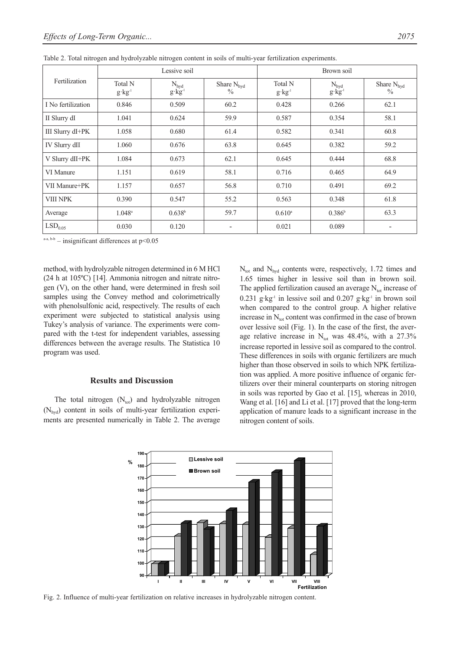|                     |                              | Lessive soil                               |                                         | Brown soil                           |                                          |                                         |  |
|---------------------|------------------------------|--------------------------------------------|-----------------------------------------|--------------------------------------|------------------------------------------|-----------------------------------------|--|
| Fertilization       | Total N<br>$g \cdot kg^{-1}$ | $\frac{N_{hyd}}{g\!\cdot\! kg\!\cdot\! l}$ | Share $N_{\text{hvd}}$<br>$\frac{0}{0}$ | Total N<br>$g \cdot kg$ <sup>1</sup> | $\frac{N_{hyd}}{g \cdot kg^{\text{-}1}}$ | Share $N_{\text{hvd}}$<br>$\frac{0}{0}$ |  |
| I No fertilization  | 0.846                        | 0.509                                      | 60.2                                    | 0.428                                | 0.266                                    | 62.1                                    |  |
| II Slurry dI        | 1.041                        | 0.624                                      | 59.9                                    | 0.587                                | 0.354                                    | 58.1                                    |  |
| III Slurry dI+PK    | 1.058                        | 0.680                                      | 61.4                                    | 0.582                                | 0.341                                    | 60.8                                    |  |
| IV Slurry dII       | 1.060                        | 0.676                                      | 63.8                                    | 0.645                                | 0.382                                    | 59.2                                    |  |
| V Slurry dII+PK     | 1.084                        | 0.673                                      | 62.1                                    | 0.645                                | 0.444                                    | 68.8                                    |  |
| VI Manure           | 1.151                        | 0.619                                      | 58.1                                    | 0.716                                | 0.465                                    | 64.9                                    |  |
| VII Manure+PK       | 1.157                        | 0.657                                      | 56.8                                    | 0.710                                | 0.491                                    | 69.2                                    |  |
| <b>VIII NPK</b>     | 0.390                        | 0.547                                      | 55.2                                    | 0.563                                | 0.348                                    | 61.8                                    |  |
| Average             | $1.048^{\circ}$              | 0.638 <sup>b</sup>                         | 59.7                                    | $0.610$ <sup>a</sup>                 | $0.386^{\rm b}$                          | 63.3                                    |  |
| LSD <sub>0.05</sub> | 0.030                        | 0.120                                      |                                         | 0.021                                | 0.089                                    |                                         |  |

Table 2. Total nitrogen and hydrolyzable nitrogen content in soils of multi-year fertilization experiments.

 $a-a, b-b$  – insignificant differences at  $p<0.05$ 

method, with hydrolyzable nitrogen determined in 6 M HCl (24 h at 105ºC) [14]. Ammonia nitrogen and nitrate nitrogen (V), on the other hand, were determined in fresh soil samples using the Convey method and colorimetrically with phenolsulfonic acid, respectively. The results of each experiment were subjected to statistical analysis using Tukey's analysis of variance. The experiments were compared with the t-test for independent variables, assessing differences between the average results. The Statistica 10 program was used.

### **Results and Discussion**

The total nitrogen  $(N_{\text{tot}})$  and hydrolyzable nitrogen  $(N<sub>hvd</sub>)$  content in soils of multi-year fertilization experiments are presented numerically in Table 2. The average  $N_{\text{tot}}$  and  $N_{\text{hyd}}$  contents were, respectively, 1.72 times and 1.65 times higher in lessive soil than in brown soil. The applied fertilization caused an average  $N_{\text{tot}}$  increase of 0.231 g·kg<sup>-1</sup> in lessive soil and 0.207 g·kg<sup>-1</sup> in brown soil when compared to the control group. A higher relative increase in  $N_{tot}$  content was confirmed in the case of brown over lessive soil (Fig. 1). In the case of the first, the average relative increase in  $N_{tot}$  was 48.4%, with a 27.3% increase reported in lessive soil as compared to the control. These differences in soils with organic fertilizers are much higher than those observed in soils to which NPK fertilization was applied. A more positive influence of organic fertilizers over their mineral counterparts on storing nitrogen in soils was reported by Gao et al. [15], whereas in 2010, Wang et al. [16] and Li et al. [17] proved that the long-term application of manure leads to a significant increase in the nitrogen content of soils.



Fig. 2. Influence of multi-year fertilization on relative increases in hydrolyzable nitrogen content.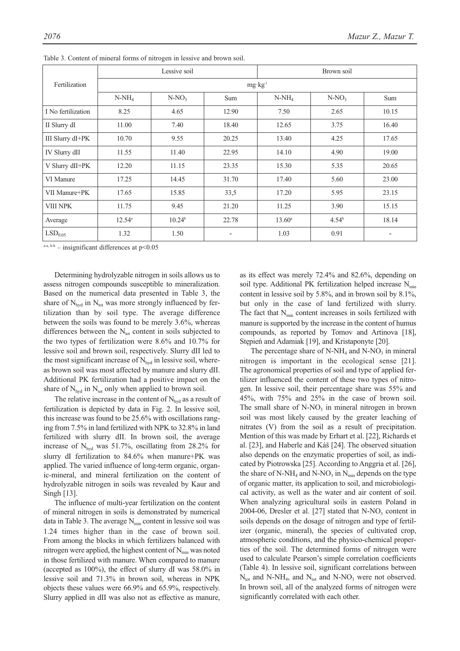|                     |                    | Lessive soil |            | Brown soil      |          |                          |  |  |
|---------------------|--------------------|--------------|------------|-----------------|----------|--------------------------|--|--|
| Fertilization       | $mg \cdot kg^{-1}$ |              |            |                 |          |                          |  |  |
|                     | $N-NH_4$           | $N-NO3$      | <b>Sum</b> | $N-NH_4$        | $N-NO3$  | Sum                      |  |  |
| I No fertilization  | 8.25               | 4.65         | 12.90      | 7.50            | 2.65     | 10.15                    |  |  |
| II Slurry dI        | 11.00              | 7.40         | 18.40      | 12.65           | 3.75     | 16.40                    |  |  |
| III Slurry dI+PK    | 10.70              | 9.55         | 20.25      | 13.40           | 4.25     | 17.65                    |  |  |
| IV Slurry dII       | 11.55              | 11.40        | 22.95      | 14.10           | 4.90     | 19.00                    |  |  |
| V Slurry dII+PK     | 12.20              | 11.15        | 23.35      | 15.30           | 5.35     | 20.65                    |  |  |
| VI Manure           | 17.25              | 14.45        | 31.70      | 17.40           | 5.60     | 23.00                    |  |  |
| VII Manure+PK       | 17.65              | 15.85        | 33,5       | 17.20           | 5.95     | 23.15                    |  |  |
| <b>VIII NPK</b>     | 11.75              | 9.45         | 21.20      | 11.25           | 3.90     | 15.15                    |  |  |
| Average             | $12.54^{\circ}$    | $10.24^b$    | 22.78      | $13.60^{\circ}$ | $4.54^b$ | 18.14                    |  |  |
| LSD <sub>0.05</sub> | 1.32               | 1.50         |            | 1.03            | 0.91     | $\overline{\phantom{a}}$ |  |  |

Table 3. Content of mineral forms of nitrogen in lessive and brown soil.

 $a-a, b-b$  – insignificant differences at  $p<0.05$ 

Determining hydrolyzable nitrogen in soils allows us to assess nitrogen compounds susceptible to mineralization. Based on the numerical data presented in Table 3, the share of  $N_{\text{hyd}}$  in  $N_{\text{tot}}$  was more strongly influenced by fertilization than by soil type. The average difference between the soils was found to be merely 3.6%, whereas differences between the  $N_{tot}$  content in soils subjected to the two types of fertilization were 8.6% and 10.7% for lessive soil and brown soil, respectively. Slurry dII led to the most significant increase of  $N<sub>hyd</sub>$  in lessive soil, whereas brown soil was most affected by manure and slurry dII. Additional PK fertilization had a positive impact on the share of  $N_{\text{hvd}}$  in  $N_{\text{tot}}$  only when applied to brown soil.

The relative increase in the content of  $N_{\text{hyd}}$  as a result of fertilization is depicted by data in Fig. 2. In lessive soil, this increase was found to be 25.6% with oscillations ranging from 7.5% in land fertilized with NPK to 32.8% in land fertilized with slurry dII. In brown soil, the average increase of  $N_{\text{hvd}}$  was 51.7%, oscillating from 28.2% for slurry dI fertilization to 84.6% when manure+PK was applied. The varied influence of long-term organic, organic-mineral, and mineral fertilization on the content of hydrolyzable nitrogen in soils was revealed by Kaur and Singh [13].

The influence of multi-year fertilization on the content of mineral nitrogen in soils is demonstrated by numerical data in Table 3. The average  $N_{\text{min}}$  content in lessive soil was 1.24 times higher than in the case of brown soil. From among the blocks in which fertilizers balanced with nitrogen were applied, the highest content of  $N_{\text{min}}$  was noted in those fertilized with manure. When compared to manure (accepted as 100%), the effect of slurry dI was 58.0% in lessive soil and 71.3% in brown soil, whereas in NPK objects these values were 66.9% and 65.9%, respectively. Slurry applied in dII was also not as effective as manure, as its effect was merely 72.4% and 82.6%, depending on soil type. Additional PK fertilization helped increase  $N_{\text{min}}$ content in lessive soil by 5.8%, and in brown soil by 8.1%, but only in the case of land fertilized with slurry. The fact that  $N_{min}$  content increases in soils fertilized with manure is supported by the increase in the content of humus compounds, as reported by Tomov and Artinova [18], Stępień and Adamiak [19], and Kristaponyte [20].

The percentage share of  $N-NH_4$  and  $N-NO_3$  in mineral nitrogen is important in the ecological sense [21]. The agronomical properties of soil and type of applied fertilizer influenced the content of these two types of nitrogen. In lessive soil, their percentage share was 55% and 45%, with 75% and 25% in the case of brown soil. The small share of  $N-NO_3$  in mineral nitrogen in brown soil was most likely caused by the greater leaching of nitrates (V) from the soil as a result of precipitation. Mention of this was made by Erhart et al. [22], Richards et al. [23], and Haberle and Káš [24]. The observed situation also depends on the enzymatic properties of soil, as indicated by Piotrowska [25]. According to Anggria et al. [26], the share of N-NH<sub>4</sub> and N-NO<sub>3</sub> in N<sub>min</sub> depends on the type of organic matter, its application to soil, and microbiological activity, as well as the water and air content of soil. When analyzing agricultural soils in eastern Poland in 2004-06, Dresler et al.  $[27]$  stated that N-NO<sub>3</sub> content in soils depends on the dosage of nitrogen and type of fertilizer (organic, mineral), the species of cultivated crop, atmospheric conditions, and the physico-chemical properties of the soil. The determined forms of nitrogen were used to calculate Pearson's simple correlation coefficients (Table 4). In lessive soil, significant correlations between  $N_{\text{tot}}$  and N-NH<sub>4</sub>, and N<sub>tot</sub> and N-NO<sub>3</sub> were not observed. In brown soil, all of the analyzed forms of nitrogen were significantly correlated with each other.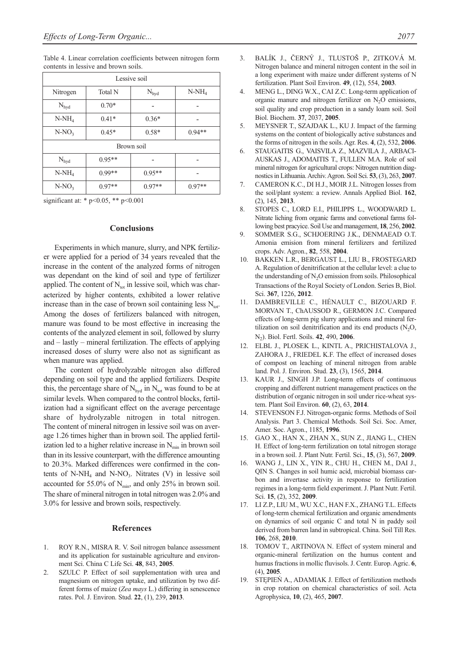Table 4. Linear correlation coefficients between nitrogen form contents in lessive and brown soils.

| Lessive soil     |                |                  |          |  |  |  |  |
|------------------|----------------|------------------|----------|--|--|--|--|
| Nitrogen         | <b>Total N</b> | $N_{\text{hyd}}$ | $N-NH_4$ |  |  |  |  |
| $N_{\text{hyd}}$ | $0.70*$        |                  |          |  |  |  |  |
| $N-NH_4$         | $0.41*$        | $0.36*$          |          |  |  |  |  |
| $N-NO_3$         | $0.45*$        | $0.58*$          | $0.94**$ |  |  |  |  |
| Brown soil       |                |                  |          |  |  |  |  |
| $\rm N_{hyd}$    | $0.95**$       |                  |          |  |  |  |  |
| $N-NH_4$         | $0.99**$       |                  |          |  |  |  |  |
| $N-NO_3$         | $0.97**$       |                  | $0.97**$ |  |  |  |  |

significant at: \* p<0.05, \*\* p<0.001

## **Conclusions**

Experiments in which manure, slurry, and NPK fertilizer were applied for a period of 34 years revealed that the increase in the content of the analyzed forms of nitrogen was dependant on the kind of soil and type of fertilizer applied. The content of  $N_{tot}$  in lessive soil, which was characterized by higher contents, exhibited a lower relative increase than in the case of brown soil containing less  $N_{tot}$ . Among the doses of fertilizers balanced with nitrogen, manure was found to be most effective in increasing the contents of the analyzed element in soil, followed by slurry and – lastly – mineral fertilization. The effects of applying increased doses of slurry were also not as significant as when manure was applied.

The content of hydrolyzable nitrogen also differed depending on soil type and the applied fertilizers. Despite this, the percentage share of  $N_{\text{hyd}}$  in  $N_{\text{tot}}$  was found to be at similar levels. When compared to the control blocks, fertilization had a significant effect on the average percentage share of hydrolyzable nitrogen in total nitrogen. The content of mineral nitrogen in lessive soil was on average 1.26 times higher than in brown soil. The applied fertilization led to a higher relative increase in  $N_{\text{min}}$  in brown soil than in its lessive counterpart, with the difference amounting to 20.3%. Marked differences were confirmed in the contents of N-NH<sub>4</sub> and N-NO<sub>3</sub>. Nitrates (V) in lessive soil accounted for 55.0% of  $N_{min}$ , and only 25% in brown soil. The share of mineral nitrogen in total nitrogen was 2.0% and 3.0% for lessive and brown soils, respectively.

# **References**

- 1. ROY R.N., MISRA R. V. Soil nitrogen balance assessment and its application for sustainable agriculture and environment Sci. China C Life Sci. **48**, 843, **2005**.
- 2. SZULC P. Effect of soil supplementation with urea and magnesium on nitrogen uptake, and utilization by two different forms of maize (*Zea mays* L.) differing in senescence rates. Pol. J. Environ. Stud. **22**, (1), 239, **2013**.
- 3. BALÍK J., ČERNÝ J., TLUSTOŠ P., ZITKOVÁ M. Nitrogen balance and mineral nitrogen content in the soil in a long experiment with maize under different systems of N fertilization. Plant Soil Environ. **49**, (12), 554, **2003**.
- 4. MENG L., DING W.X., CAI Z.C. Long-term application of organic manure and nitrogen fertilizer on  $N<sub>2</sub>O$  emissions, soil quality and crop production in a sandy loam soil. Soil Biol. Biochem. **37**, 2037, **2005**.
- 5. MEYSNER T., SZAJDAK L., KU J. Impact of the farming systems on the content of biologically active substances and the forms of nitrogen in the soils. Agr. Res. **4**, (2), 532, **2006**.
- 6. STAUGAITIS G., VAISVILA Z., MAZVILA J., ARBACI-AUSKAS J., ADOMAITIS T., FULLEN M.A. Role of soil mineral nitrogen for agricultural crops: Nitrogen nutrition diagnostics in Lithuania. Archiv. Agron. Soil Sci. **53**, (3), 263, **2007**.
- 7. CAMERON K.C., DI H.J., MOIR J.L. Nitrogen losses from the soil/plant system: a review. Annals Applied Biol. **162**, (2), 145, **2013**.
- 8. STOPES C., LORD E.I., PHILIPPS L., WOODWARD L. Nitrate liching from organic farms and convetional farms following best pracyice. Soil Use and management, **18**, 256, **2002**.
- 9. SOMMER S.G., SCHJOERING J.K., DENMAEAD O.T. Amonia emision from mineral fertilizers and fertilized crops. Adv. Agron., **82**, 558, **2004**.
- 10. BAKKEN L.R., BERGAUST L., LIU B., FROSTEGARD A. Regulation of denitrification at the cellular level: a clue to the understanding of  $N_2O$  emission from soils. Philosophical Transactions of the Royal Society of London. Series B, Biol. Sci. **367**, 1226, **2012**.
- 11. DAMBREVILLE C., HÉNAULT C., BIZOUARD F. MORVAN T., ChAUSSOD R., GERMON J.C. Compared effects of long-term pig slurry applications and mineral fertilization on soil denitrification and its end products  $(N, O, O)$ N2). Biol. Fertl. Soils. **42**, 490, **2006**.
- 12. ELBL J., PLOSEK L., KINTL A., PRICHISTALOVA J., ZAHORA J., FRIEDEL K.F. The effect of increased doses of compost on leaching of mineral nitrogen from arable land. Pol. J. Environ. Stud. **23**, (3), 1565, **2014**.
- 13. KAUR J., SINGH J.P. Long-term effects of continuous cropping and different nutrient management practices on the distribution of organic nitrogen in soil under rice-wheat system. Plant Soil Environ. **60**, (2), 63, **2014**.
- 14. STEVENSON F.J. Nitrogen-organic forms. Methods of Soil Analysis. Part 3. Chemical Methods. Soil Sci. Soc. Amer, Amer. Soc. Agron., 1185, **1996**.
- 15. GAO X., HAN X., ZHAN X., SUN Z., JIANG L., CHEN H. Effect of long-term fertilization on total nitrogen storage in a brown soil. J. Plant Nutr. Fertil. Sci., **15**, (3), 567, **2009**.
- 16. WANG J., LIN X., YIN R., CHU H., CHEN M., DAI J., QIN S. Changes in soil humic acid, microbial biomass carbon and invertase activity in response to fertilization regimes in a long-term field experiment. J. Plant Nutr. Fertil. Sci. **15**, (2), 352, **2009**.
- 17. LI Z.P., LIU M., WU X.C., HAN F.X., ZHANG T.L. Effects of long-term chemical fertilization and organic amendments on dynamics of soil organic C and total N in paddy soil derived from barren land in subtropical. China. Soil Till Res. **106**, 268, **2010**.
- 18. TOMOV T., ARTINOVA N. Effect of system mineral and organic-mineral fertilization on the humus content and humus fractions in mollic fluvisols. J. Centr. Europ. Agric. **6**, (4), **2005**.
- 19. STĘPIEŃ A., ADAMIAK J. Effect of fertilization methods in crop rotation on chemical characteristics of soil. Acta Agrophysica, **10**, (2), 465, **2007**.